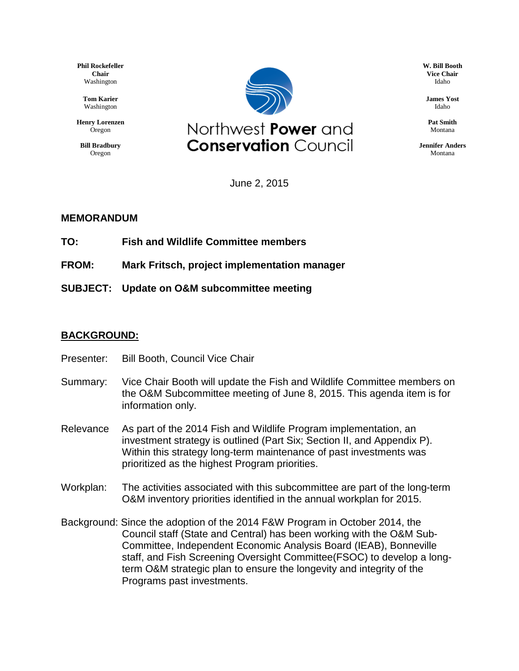**Phil Rockefeller Chair** Washington

> **Tom Karier** Washington

**Henry Lorenzen** Oregon

**Bill Bradbury** Oregon



**W. Bill Booth Vice Chair** Idaho

**James Yost** Idaho

**Pat Smith** Montana

**Jennifer Anders** Montana

June 2, 2015

## **MEMORANDUM**

**TO: Fish and Wildlife Committee members**

**FROM: Mark Fritsch, project implementation manager**

**SUBJECT: Update on O&M subcommittee meeting**

## **BACKGROUND:**

- Presenter: Bill Booth, Council Vice Chair
- Summary: Vice Chair Booth will update the Fish and Wildlife Committee members on the O&M Subcommittee meeting of June 8, 2015. This agenda item is for information only.
- Relevance As part of the 2014 Fish and Wildlife Program implementation, an investment strategy is outlined (Part Six; Section II, and Appendix P). Within this strategy long-term maintenance of past investments was prioritized as the highest Program priorities.
- Workplan: The activities associated with this subcommittee are part of the long-term O&M inventory priorities identified in the annual workplan for 2015.
- Background: Since the adoption of the 2014 F&W Program in October 2014, the Council staff (State and Central) has been working with the O&M Sub-Committee, Independent Economic Analysis Board (IEAB), Bonneville staff, and Fish Screening Oversight Committee(FSOC) to develop a longterm O&M strategic plan to ensure the longevity and integrity of the Programs past investments.